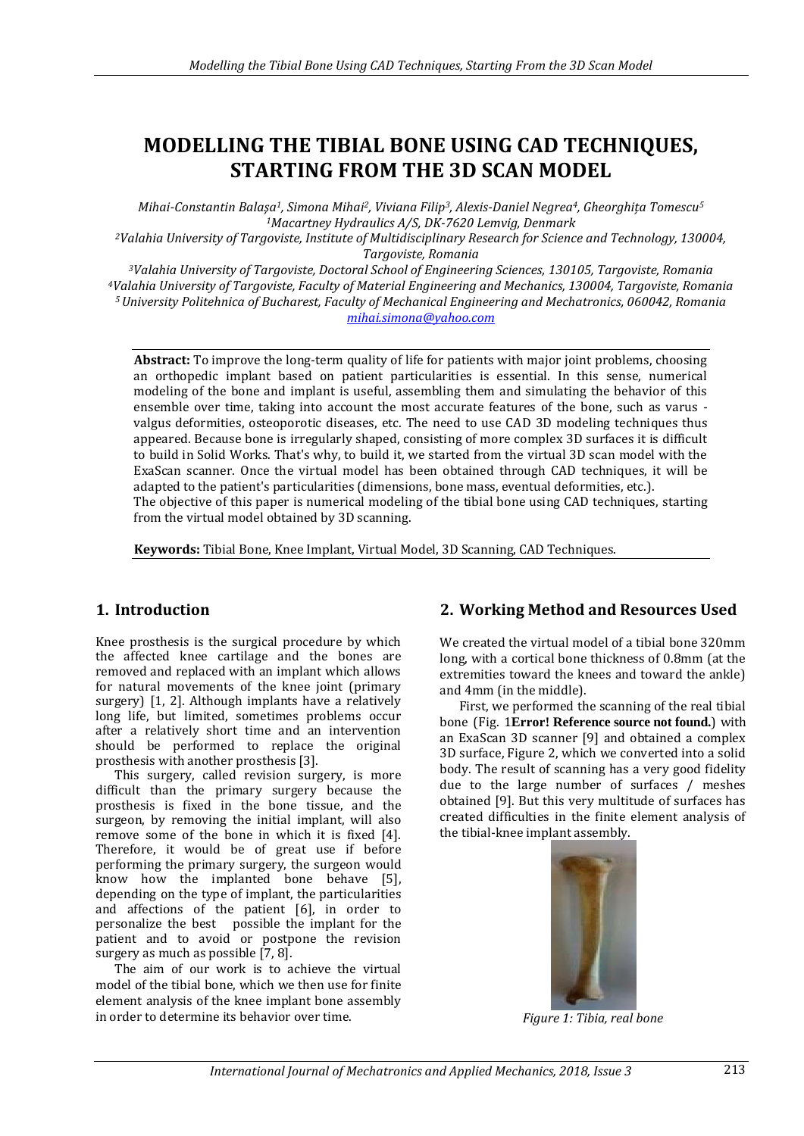# **MODELLING THE TIBIAL BONE USING CAD TECHNIQUES, STARTING FROM THE 3D SCAN MODEL**

*Mihai-Constantin Balaşa1, Simona Mihai2, Viviana Filip3, Alexis-Daniel Negrea4, Gheorghița Tomescu<sup>5</sup> <sup>1</sup>Macartney Hydraulics A/S, DK-7620 Lemvig, Denmark*

*<sup>2</sup>Valahia University of Targoviste, Institute of Multidisciplinary Research for Science and Technology, 130004, Targoviste, Romania*

*Valahia University of Targoviste, Doctoral School of Engineering Sciences, 130105, Targoviste, Romania Valahia University of Targoviste, Faculty of Material Engineering and Mechanics, 130004, Targoviste, Romania University Politehnica of Bucharest, Faculty of Mechanical Engineering and Mechatronics, 060042, Romania [mihai.simona@yahoo.com](mailto:mihai.simona@yahoo.com)*

**Abstract:** To improve the long-term quality of life for patients with major joint problems, choosing an orthopedic implant based on patient particularities is essential. In this sense, numerical modeling of the bone and implant is useful, assembling them and simulating the behavior of this ensemble over time, taking into account the most accurate features of the bone, such as varus valgus deformities, osteoporotic diseases, etc. The need to use CAD 3D modeling techniques thus appeared. Because bone is irregularly shaped, consisting of more complex 3D surfaces it is difficult to build in Solid Works. That's why, to build it, we started from the virtual 3D scan model with the ExaScan scanner. Once the virtual model has been obtained through CAD techniques, it will be adapted to the patient's particularities (dimensions, bone mass, eventual deformities, etc.). The objective of this paper is numerical modeling of the tibial bone using CAD techniques, starting from the virtual model obtained by 3D scanning.

**Keywords:** Tibial Bone, Knee Implant, Virtual Model, 3D Scanning, CAD Techniques.

# **1. Introduction**

Knee prosthesis is the surgical procedure by which the affected knee cartilage and the bones are removed and replaced with an implant which allows for natural movements of the knee joint (primary surgery) [1, 2]. Although implants have a relatively long life, but limited, sometimes problems occur after a relatively short time and an intervention should be performed to replace the original prosthesis with another prosthesis [3].

This surgery, called revision surgery, is more difficult than the primary surgery because the prosthesis is fixed in the bone tissue, and the surgeon, by removing the initial implant, will also remove some of the bone in which it is fixed [4]. Therefore, it would be of great use if before performing the primary surgery, the surgeon would know how the implanted bone behave [5], depending on the type of implant, the particularities and affections of the patient [6], in order to personalize the best possible the implant for the patient and to avoid or postpone the revision surgery as much as possible [7, 8].

The aim of our work is to achieve the virtual model of the tibial bone, which we then use for finite element analysis of the knee implant bone assembly in order to determine its behavior over time.

# **2. Working Method and Resources Used**

We created the virtual model of a tibial bone 320mm long, with a cortical bone thickness of 0.8mm (at the extremities toward the knees and toward the ankle) and 4mm (in the middle).

First, we performed the scanning of the real tibial bone (Fig. 1**Error! Reference source not found.**) with an ExaScan 3D scanner [9] and obtained a complex 3D surface, Figure 2, which we converted into a solid body. The result of scanning has a very good fidelity due to the large number of surfaces / meshes obtained [9]. But this very multitude of surfaces has created difficulties in the finite element analysis of the tibial-knee implant assembly.



*Figure 1: Tibia, real bone*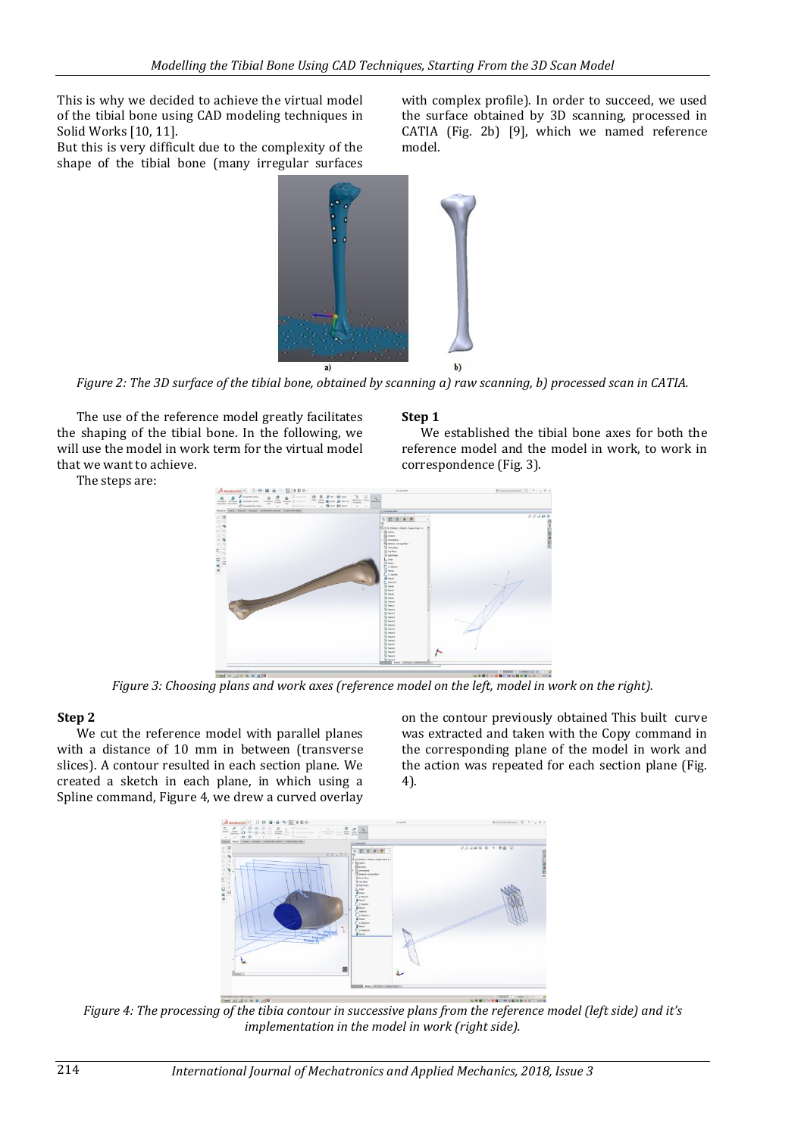This is why we decided to achieve the virtual model of the tibial bone using CAD modeling techniques in Solid Works [10, 11].

But this is very difficult due to the complexity of the shape of the tibial bone (many irregular surfaces with complex profile). In order to succeed, we used the surface obtained by 3D scanning, processed in CATIA (Fig. 2b) [9], which we named reference model.



*Figure 2: The 3D surface of the tibial bone, obtained by scanning a) raw scanning, b) processed scan in CATIA.*

The use of the reference model greatly facilitates the shaping of the tibial bone. In the following, we will use the model in work term for the virtual model that we want to achieve.

The steps are:

#### **Step 1**

We established the tibial bone axes for both the reference model and the model in work, to work in correspondence (Fig. 3).



*Figure 3: Choosing plans and work axes (reference model on the left, model in work on the right).*

#### **Step 2**

We cut the reference model with parallel planes with a distance of 10 mm in between (transverse slices). A contour resulted in each section plane. We created a sketch in each plane, in which using a Spline command, Figure 4, we drew a curved overlay on the contour previously obtained This built curve was extracted and taken with the Copy command in the corresponding plane of the model in work and the action was repeated for each section plane (Fig. 4).



*Figure 4: The processing of the tibia contour in successive plans from the reference model (left side) and it's implementation in the model in work (right side).*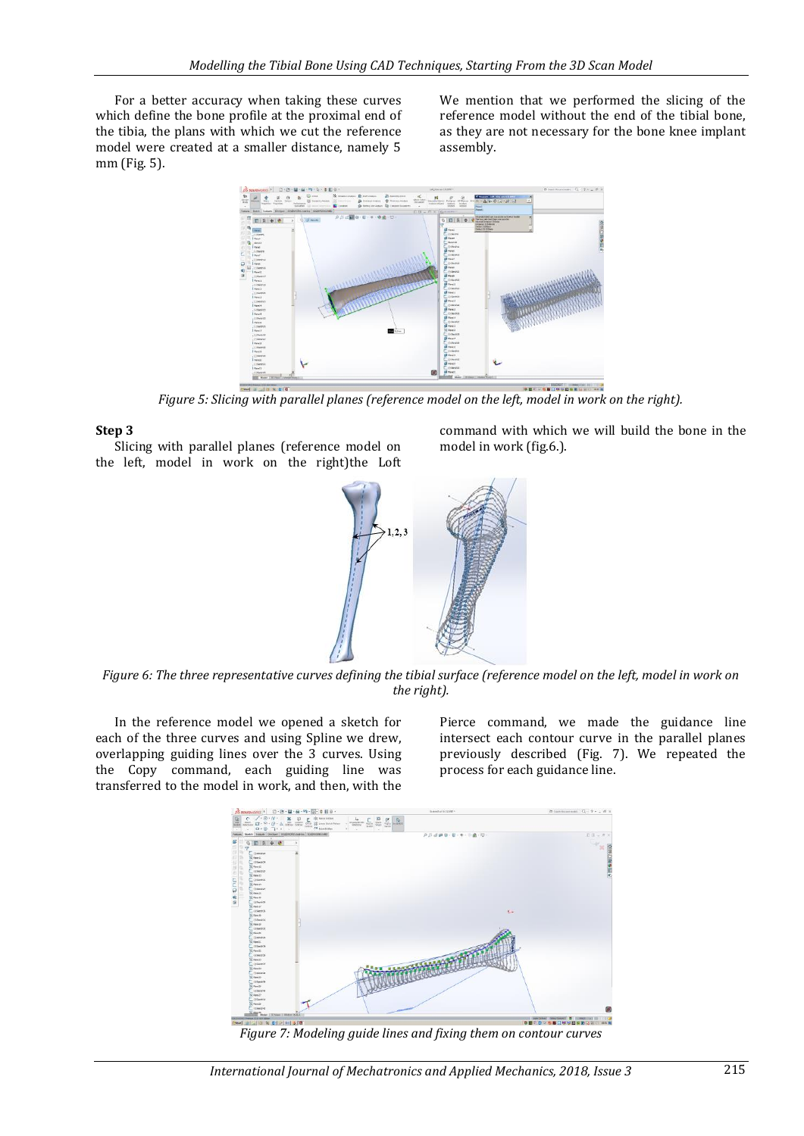For a better accuracy when taking these curves which define the bone profile at the proximal end of the tibia, the plans with which we cut the reference model were created at a smaller distance, namely 5 mm (Fig. 5).

We mention that we performed the slicing of the reference model without the end of the tibial bone, as they are not necessary for the bone knee implant assembly.



*Figure 5: Slicing with parallel planes (reference model on the left, model in work on the right).*

#### **Step 3**

Slicing with parallel planes (reference model on the left, model in work on the right)the Loft command with which we will build the bone in the model in work (fig.6.).



*Figure 6: The three representative curves defining the tibial surface (reference model on the left, model in work on the right).*

In the reference model we opened a sketch for each of the three curves and using Spline we drew, overlapping guiding lines over the 3 curves. Using the Copy command, each guiding line was transferred to the model in work, and then, with the

Pierce command, we made the guidance line intersect each contour curve in the parallel planes previously described (Fig. 7). We repeated the process for each guidance line.



*Figure 7: Modeling guide lines and fixing them on contour curves*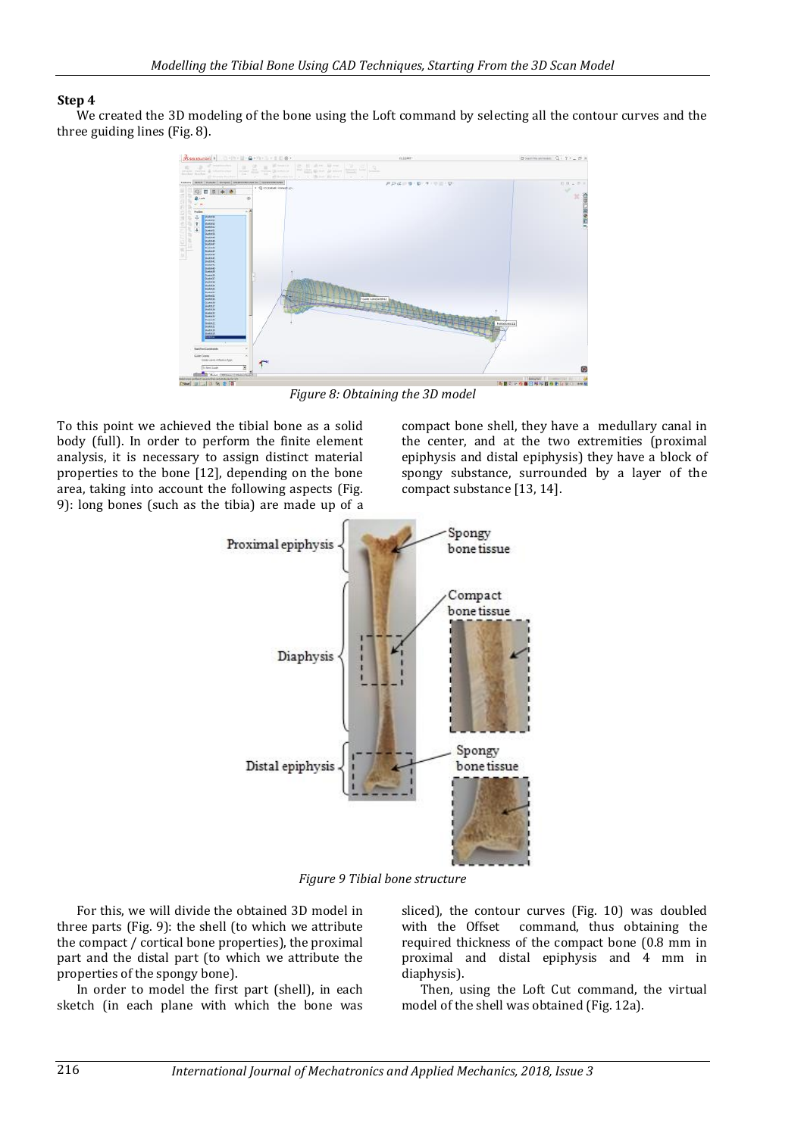#### **Step 4**

We created the 3D modeling of the bone using the Loft command by selecting all the contour curves and the three guiding lines (Fig. 8).



*Figure 8: Obtaining the 3D model*

To this point we achieved the tibial bone as a solid body (full). In order to perform the finite element analysis, it is necessary to assign distinct material properties to the bone [12], depending on the bone area, taking into account the following aspects (Fig. 9): long bones (such as the tibia) are made up of a compact bone shell, they have a medullary canal in the center, and at the two extremities (proximal epiphysis and distal epiphysis) they have a block of spongy substance, surrounded by a layer of the compact substance [13, 14].



*Figure 9 Tibial bone structure*

For this, we will divide the obtained 3D model in three parts (Fig. 9): the shell (to which we attribute the compact / cortical bone properties), the proximal part and the distal part (to which we attribute the properties of the spongy bone).

In order to model the first part (shell), in each sketch (in each plane with which the bone was sliced), the contour curves (Fig. 10) was doubled with the Offset command, thus obtaining the required thickness of the compact bone (0.8 mm in proximal and distal epiphysis and 4 mm in diaphysis).

Then, using the Loft Cut command, the virtual model of the shell was obtained (Fig. 12a).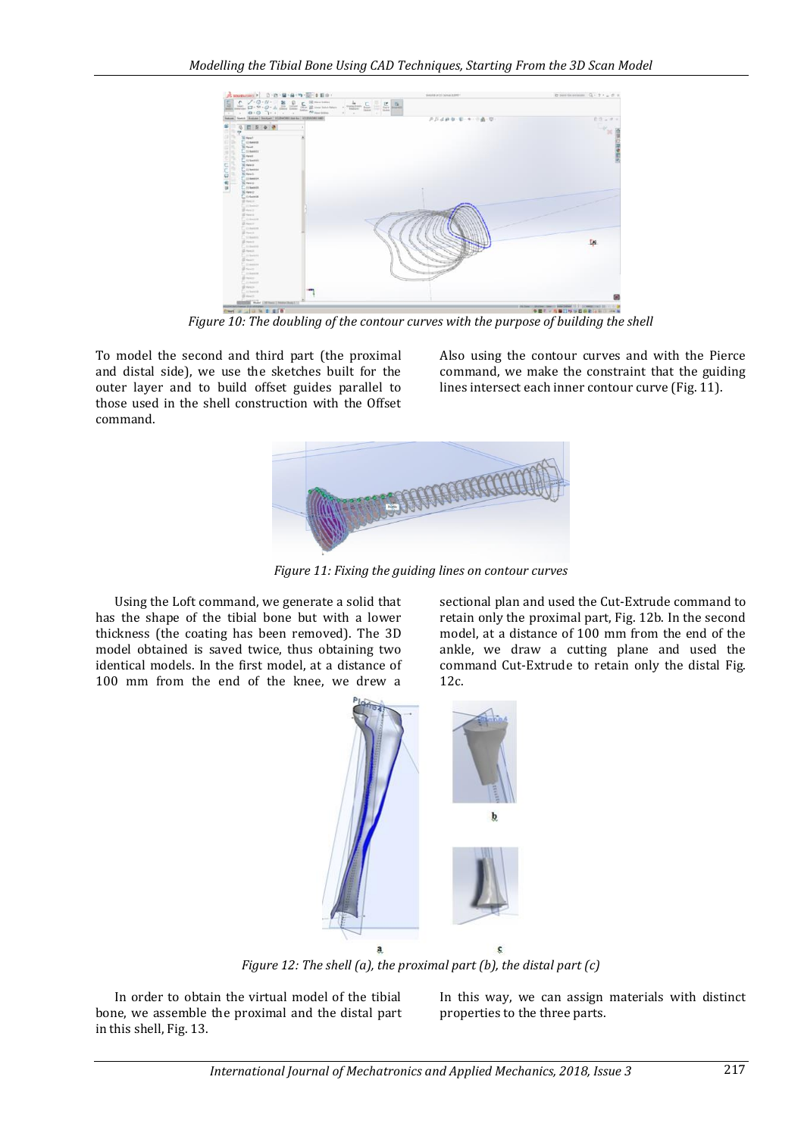

*Figure 10: The doubling of the contour curves with the purpose of building the shell*

To model the second and third part (the proximal and distal side), we use the sketches built for the outer layer and to build offset guides parallel to those used in the shell construction with the Offset command.

Also using the contour curves and with the Pierce command, we make the constraint that the guiding lines intersect each inner contour curve (Fig. 11).



*Figure 11: Fixing the guiding lines on contour curves*

Using the Loft command, we generate a solid that has the shape of the tibial bone but with a lower thickness (the coating has been removed). The 3D model obtained is saved twice, thus obtaining two identical models. In the first model, at a distance of 100 mm from the end of the knee, we drew a

sectional plan and used the Cut-Extrude command to retain only the proximal part, Fig. 12b. In the second model, at a distance of 100 mm from the end of the ankle, we draw a cutting plane and used the command Cut-Extrude to retain only the distal Fig. 12c.



*Figure 12: The shell (a), the proximal part (b), the distal part (c)*

In order to obtain the virtual model of the tibial bone, we assemble the proximal and the distal part in this shell, Fig. 13.

In this way, we can assign materials with distinct properties to the three parts.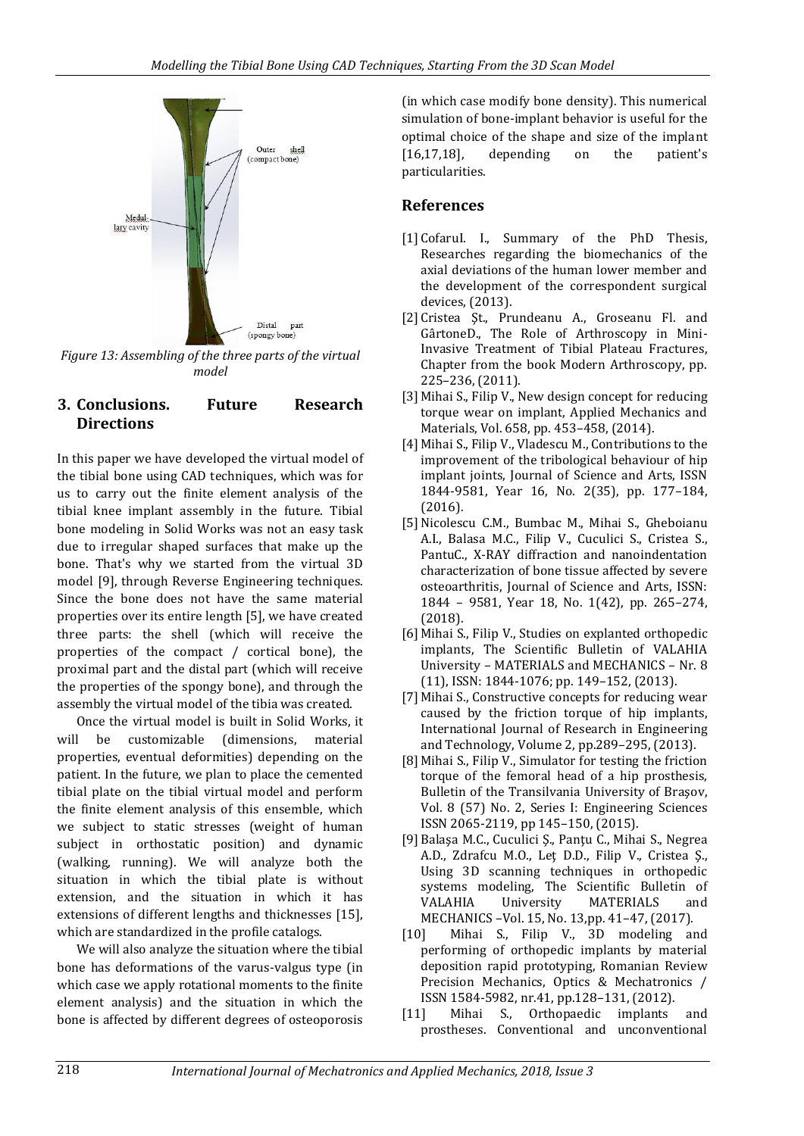

*Figure 13: Assembling of the three parts of the virtual model*

# **3. Conclusions. Future Research Directions**

In this paper we have developed the virtual model of the tibial bone using CAD techniques, which was for us to carry out the finite element analysis of the tibial knee implant assembly in the future. Tibial bone modeling in Solid Works was not an easy task due to irregular shaped surfaces that make up the bone. That's why we started from the virtual 3D model [9], through Reverse Engineering techniques. Since the bone does not have the same material properties over its entire length [5], we have created three parts: the shell (which will receive the properties of the compact / cortical bone), the proximal part and the distal part (which will receive the properties of the spongy bone), and through the assembly the virtual model of the tibia was created.

Once the virtual model is built in Solid Works, it will be customizable (dimensions, material properties, eventual deformities) depending on the patient. In the future, we plan to place the cemented tibial plate on the tibial virtual model and perform the finite element analysis of this ensemble, which we subject to static stresses (weight of human subject in orthostatic position) and dynamic (walking, running). We will analyze both the situation in which the tibial plate is without extension, and the situation in which it has extensions of different lengths and thicknesses [15], which are standardized in the profile catalogs.

We will also analyze the situation where the tibial bone has deformations of the varus-valgus type (in which case we apply rotational moments to the finite element analysis) and the situation in which the bone is affected by different degrees of osteoporosis

(in which case modify bone density). This numerical simulation of bone-implant behavior is useful for the optimal choice of the shape and size of the implant [16,17,18], depending on the patient's particularities.

# **References**

- [1] CofaruI. I., Summary of the PhD Thesis, Researches regarding the biomechanics of the axial deviations of the human lower member and the development of the correspondent surgical devices, (2013).
- [2] Cristea Şt., Prundeanu A., Groseanu Fl. and GârtoneD., The Role of Arthroscopy in Mini-Invasive Treatment of Tibial Plateau Fractures, Chapter from the book Modern Arthroscopy, pp. 225–236, (2011).
- [3] Mihai S., Filip V., New design concept for reducing torque wear on implant, Applied Mechanics and Materials, Vol. 658, pp. 453–458, (2014).
- [4] Mihai S., Filip V., Vladescu M., Contributions to the improvement of the tribological behaviour of hip implant joints, Journal of Science and Arts, ISSN 1844-9581, Year 16, No. 2(35), pp. 177–184, (2016).
- [5] Nicolescu C.M., Bumbac M., Mihai S., Gheboianu A.I., Balasa M.C., Filip V., Cuculici S., Cristea S., PantuC., X-RAY diffraction and nanoindentation characterization of bone tissue affected by severe osteoarthritis, Journal of Science and Arts, ISSN: 1844 – 9581, Year 18, No. 1(42), pp. 265–274, (2018).
- [6] Mihai S., Filip V., Studies on explanted orthopedic implants, The Scientific Bulletin of VALAHIA University – MATERIALS and MECHANICS – Nr. 8 (11), ISSN: 1844-1076; pp. 149–152, (2013).
- [7] Mihai S., Constructive concepts for reducing wear caused by the friction torque of hip implants, International Journal of Research in Engineering and Technology, Volume 2, pp.289–295, (2013).
- [8] Mihai S., Filip V., Simulator for testing the friction torque of the femoral head of a hip prosthesis, Bulletin of the Transilvania University of Braşov, Vol. 8 (57) No. 2, Series I: Engineering Sciences ISSN 2065-2119, pp 145–150, (2015).
- [9] Balaşa M.C., Cuculici Ş., Panţu C., Mihai S., Negrea A.D., Zdrafcu M.O., Leţ D.D., Filip V., Cristea Ş., Using 3D scanning techniques in orthopedic systems modeling, The Scientific Bulletin of VALAHIA University MATERIALS and MECHANICS –Vol. 15, No. 13,pp. 41–47, (2017).
- [10] Mihai S., Filip V., 3D modeling and performing of orthopedic implants by material deposition rapid prototyping, Romanian Review Precision Mechanics, Optics & Mechatronics / ISSN 1584-5982, nr.41, pp.128–131, (2012).
- [11] Mihai S., Orthopaedic implants and prostheses. Conventional and unconventional